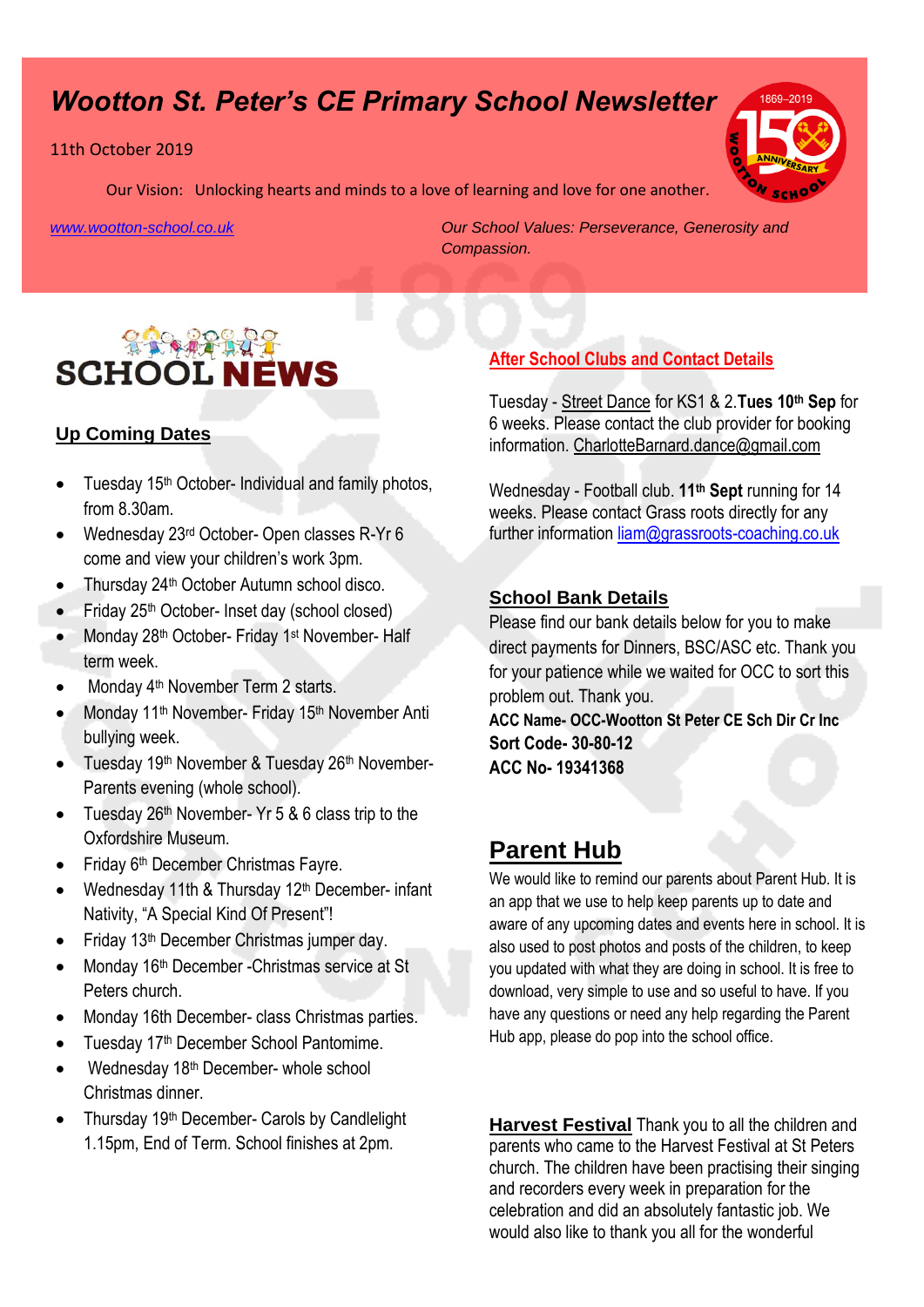# *Wootton St. Peter's CE Primary School Newsletter*

#### 11th October 2019

Our Vision: Unlocking hearts and minds to a love of learning and love for one another.

*[www.wootton-school.co.uk](http://www.wootton-school.co.uk/) Our School Values: Perseverance, Generosity and Compassion.*



### **Up Coming Dates**

- $\bullet$  Tuesday 15<sup>th</sup> October- Individual and family photos, from 8.30am.
- Wednesday 23<sup>rd</sup> October- Open classes R-Yr 6 come and view your children's work 3pm.
- Thursday 24<sup>th</sup> October Autumn school disco.
- Friday 25th October- Inset day (school closed)
- Monday 28<sup>th</sup> October- Friday 1<sup>st</sup> November- Half term week.
- Monday 4<sup>th</sup> November Term 2 starts.
- Monday 11<sup>th</sup> November- Friday 15<sup>th</sup> November Anti bullying week.
- Tuesday 19<sup>th</sup> November & Tuesday 26<sup>th</sup> November-Parents evening (whole school).
- Tuesday 26th November- Yr 5 & 6 class trip to the Oxfordshire Museum.
- Friday 6th December Christmas Fayre.
- Wednesday 11th & Thursday 12<sup>th</sup> December- infant Nativity, "A Special Kind Of Present"!
- Friday 13th December Christmas jumper day.
- Monday 16<sup>th</sup> December -Christmas service at St Peters church.
- Monday 16th December- class Christmas parties.
- Tuesday 17<sup>th</sup> December School Pantomime.
- Wednesday 18th December- whole school Christmas dinner.
- Thursday 19th December- Carols by Candlelight 1.15pm, End of Term. School finishes at 2pm.

## **After School Clubs and Contact Details**

Tuesday - Street Dance for KS1 & 2.**Tues 10th Sep** for 6 weeks. Please contact the club provider for booking information. CharlotteBarnard.dance@gmail.com

Wednesday - Football club. **11th Sept** running for 14 weeks. Please contact Grass roots directly for any further information [liam@grassroots-coaching.co.uk](mailto:liam@grassroots-coaching.co.uk)

#### **School Bank Details**

Please find our bank details below for you to make direct payments for Dinners, BSC/ASC etc. Thank you for your patience while we waited for OCC to sort this problem out. Thank you.

**ACC Name- OCC-Wootton St Peter CE Sch Dir Cr Inc Sort Code- 30-80-12 ACC No- 19341368**

## **Parent Hub**

We would like to remind our parents about Parent Hub. It is an app that we use to help keep parents up to date and aware of any upcoming dates and events here in school. It is also used to post photos and posts of the children, to keep you updated with what they are doing in school. It is free to download, very simple to use and so useful to have. If you have any questions or need any help regarding the Parent Hub app, please do pop into the school office.

**Harvest Festival** Thank you to all the children and parents who came to the Harvest Festival at St Peters church. The children have been practising their singing and recorders every week in preparation for the celebration and did an absolutely fantastic job. We would also like to thank you all for the wonderful

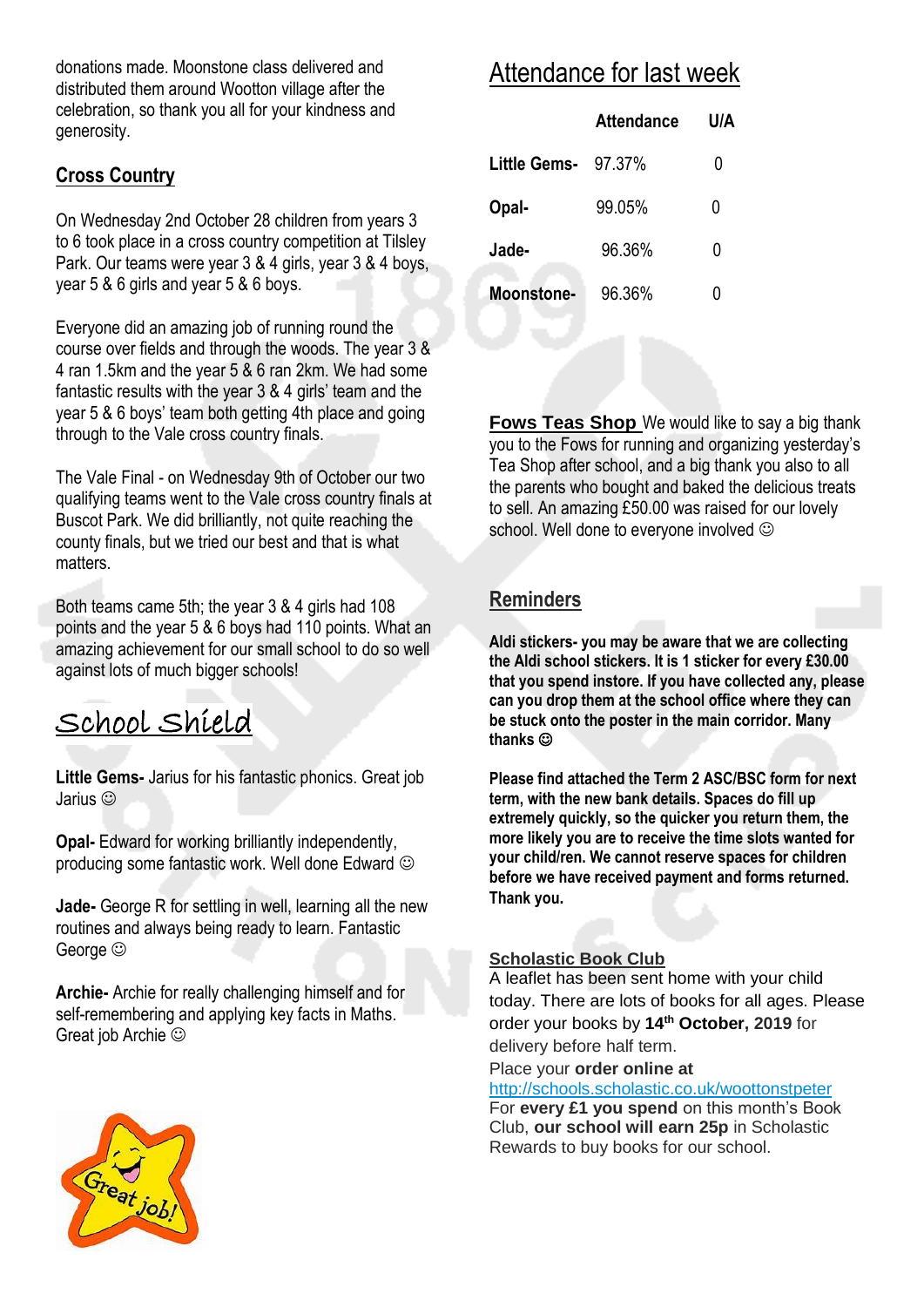donations made. Moonstone class delivered and distributed them around Wootton village after the celebration, so thank you all for your kindness and generosity.

## **Cross Country**

On Wednesday 2nd October 28 children from years 3 to 6 took place in a cross country competition at Tilsley Park. Our teams were year 3 & 4 girls, year 3 & 4 boys, year 5 & 6 girls and year 5 & 6 boys.

Everyone did an amazing job of running round the course over fields and through the woods. The year 3 & 4 ran 1.5km and the year 5 & 6 ran 2km. We had some fantastic results with the year 3 & 4 girls' team and the year 5 & 6 boys' team both getting 4th place and going through to the Vale cross country finals.

The Vale Final - on Wednesday 9th of October our two qualifying teams went to the Vale cross country finals at Buscot Park. We did brilliantly, not quite reaching the county finals, but we tried our best and that is what matters.

Both teams came 5th; the year 3 & 4 girls had 108 points and the year 5 & 6 boys had 110 points. What an amazing achievement for our small school to do so well against lots of much bigger schools!

# School Shield

**Little Gems-** Jarius for his fantastic phonics. Great job Jarius

**Opal-** Edward for working brilliantly independently, producing some fantastic work. Well done Edward

**Jade-** George R for settling in well, learning all the new routines and always being ready to learn. Fantastic George  $\odot$ 

**Archie-** Archie for really challenging himself and for self-remembering and applying key facts in Maths. Great job Archie

# Attendance for last week

|                     | <b>Attendance</b> | U/A |
|---------------------|-------------------|-----|
| Little Gems- 97.37% |                   | 0   |
| Opal-               | 99.05%            | 0   |
| Jade-               | 96.36%            | 0   |
| <b>Moonstone-</b>   | 96.36%            | 0   |

**Fows Teas Shop** We would like to say a big thank you to the Fows for running and organizing yesterday's Tea Shop after school, and a big thank you also to all the parents who bought and baked the delicious treats to sell. An amazing £50.00 was raised for our lovely school. Well done to everyone involved  $\odot$ 

## **Reminders**

**Aldi stickers- you may be aware that we are collecting the Aldi school stickers. It is 1 sticker for every £30.00 that you spend instore. If you have collected any, please can you drop them at the school office where they can be stuck onto the poster in the main corridor. Many thanks** 

**Please find attached the Term 2 ASC/BSC form for next term, with the new bank details. Spaces do fill up extremely quickly, so the quicker you return them, the more likely you are to receive the time slots wanted for your child/ren. We cannot reserve spaces for children before we have received payment and forms returned. Thank you.**

#### **Scholastic Book Club**

A leaflet has been sent home with your child today. There are lots of books for all ages. Please order your books by **14th October, 2019** for delivery before half term.

Place your **order online at**

<http://schools.scholastic.co.uk/woottonstpeter>

For **every £1 you spend** on this month's Book Club, **our school will earn 25p** in Scholastic Rewards to buy books for our school.